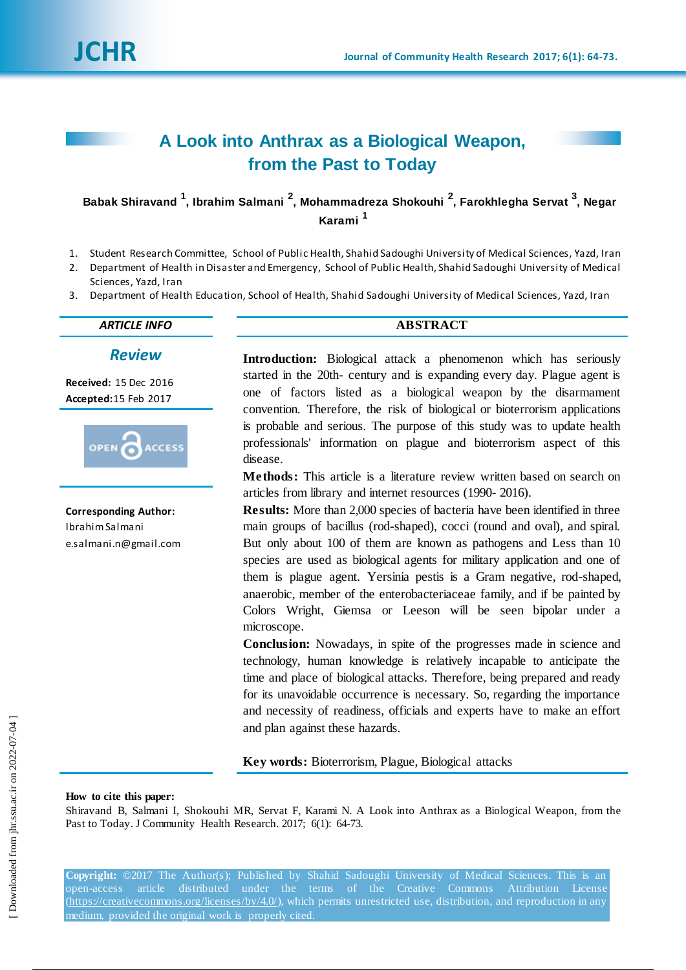# **A Look into Anthrax as a Biological Weapon, from the Past to Today**

**Babak Shiravand <sup>1</sup> , Ibrahim Salmani <sup>2</sup> , Mohammadreza Shokouhi <sup>2</sup> , Farokhlegha Servat <sup>3</sup> , Negar Karami <sup>1</sup>**

- 1. Student Research Committee, School of Public Health, Shahid Sadoughi University of Medical Sciences, Yazd, Iran
- 2. Department of Health in Disaster and Emergency, School of Public Health, Shahid Sadoughi University of Medical Sciences, Yazd, Iran
- 3. Department of Health Education, School of Health, Shahid Sadoughi University of Medical Sciences, Yazd, Iran

## *ARTICLE INFO* **ABSTRACT**

*Review*

**Received:** 15 Dec 2016 **Accepted:**15 Feb 2017



**Corresponding Author:** Ibrahim Salmani [e.salmani.n@gmail.com](mailto:e.salmani.n@gmail.com)

**Introduction:** Biological attack a phenomenon which has seriously started in the 20th- century and is expanding every day. Plague agent is one of factors listed as a biological weapon by the disarmament convention. Therefore, the risk of biological or bioterrorism applications is probable and serious. The purpose of this study was to update health professionals' information on plague and bioterrorism aspect of this disease.

**Methods:** This article is a literature review written based on search on articles from library and internet resources (1990- 2016).

**Results:** More than 2,000 species of bacteria have been identified in three main groups of bacillus (rod-shaped), cocci (round and oval), and spiral. But only about 100 of them are known as pathogens and Less than 10 species are used as biological agents for military application and one of them is plague agent. Yersinia pestis is a Gram negative, rod-shaped, anaerobic, member of the enterobacteriaceae family, and if be painted by Colors Wright, Giemsa or Leeson will be seen bipolar under a microscope.

**Conclusion:** Nowadays, in spite of the progresses made in science and technology, human knowledge is relatively incapable to anticipate the time and place of biological attacks. Therefore, being prepared and ready for its unavoidable occurrence is necessary. So, regarding the importance and necessity of readiness, officials and experts have to make an effort and plan against these hazards.

**Key words:** Bioterrorism, Plague, Biological attacks

**How to cite this paper:**

Shiravand B, Salmani I, Shokouhi MR, Servat F, Karami N. A Look into Anthrax as a Biological Weapon, from the Past to Today. J Community Health Research. 2017; 6(1): 64-73.

**Copyright:** ©2017 The Author(s); Published by Shahid Sadoughi University of Medical Sciences. This is an open-access article distributed under the terms of the Creative Commons Attribution License (https://creativecommons.org/licenses/by/4.0/), which permits unrestricted use, distribution, and reproduction in any medium, provided the original work is properly cited.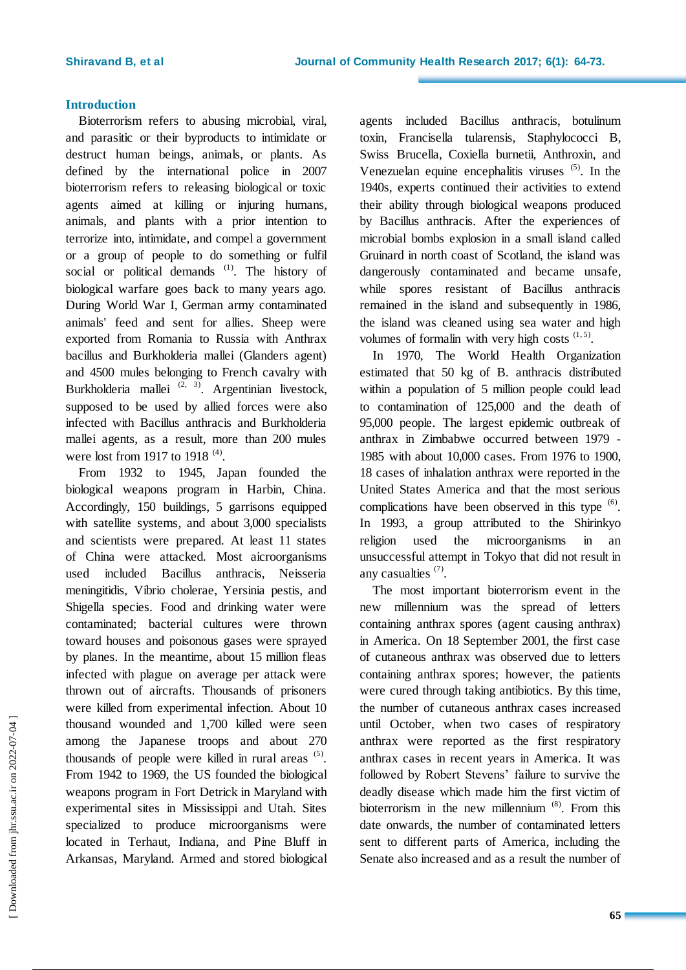## **Introduction**

Bioterrorism refers to abusing microbial, viral, and parasitic or their byproducts to intimidate or destruct human beings, animals, or plants. As defined by the international police in 2007 bioterrorism refers to releasing biological or toxic agents aimed at killing or injuring humans, animals, and plants with a prior intention to terrorize into, intimidate, and compel a government or a group of people to do something or fulfil social or political demands <sup>[\(1\)](https://translate.googleusercontent.com/translate_f#_ENREF_1)</sup>. The history of biological warfare goes back to many years ago. During World War I, German army contaminated animals' feed and sent for allies. Sheep were exported from Romania to Russia with Anthrax bacillus and Burkholderia mallei (Glanders agent) and 4500 mules belonging to French cavalry with Burkholderia mallei  $(2, 3)$  $(2, 3)$ . Argentinian livestock, supposed to be used by allied forces were also infected with Bacillus anthracis and Burkholderia mallei agents, as a result, more than 200 mules were lost from 1917 to 1918  $(4)$ .

From 1932 to 1945, Japan founded the biological weapons program in Harbin, China. Accordingly, 150 buildings, 5 garrisons equipped with satellite systems, and about 3,000 specialists and scientists were prepared. At least 11 states of China were attacked. Most aicroorganisms used included Bacillus anthracis, Neisseria meningitidis, Vibrio cholerae, Yersinia pestis, and Shigella species. Food and drinking water were contaminated; bacterial cultures were thrown toward houses and poisonous gases were sprayed by planes. In the meantime, about 15 million fleas infected with plague on average per attack were thrown out of aircrafts. Thousands of prisoners were killed from experimental infection. About 10 thousand wounded and 1,700 killed were seen among the Japanese troops and about 270 thousands of people were killed in rural areas  $(5)$ . From 1942 to 1969, the US founded the biological weapons program in Fort Detrick in Maryland with experimental sites in Mississippi and Utah. Sites specialized to produce microorganisms were located in Terhaut, Indiana, and Pine Bluff in Arkansas, Maryland. Armed and stored biological

agents included Bacillus anthracis, botulinum toxin, Francisella tularensis, Staphylococci B, Swiss Brucella, Coxiella burnetii, Anthroxin, and Venezuelan equine encephalitis viruses  $(5)$ . In the 1940s, experts continued their activities to extend their ability through biological weapons produced by Bacillus anthracis. After the experiences of microbial bombs explosion in a small island called Gruinard in north coast of Scotland, the island was dangerously contaminated and became unsafe, while spores resistant of Bacillus anthracis remained in the island and subsequently in 1986, the island was cleaned using sea water and high volumes of formalin with very high costs  $(1, 5)$  $(1, 5)$ .

In 1970, The World Health Organization estimated that 50 kg of B. anthracis distributed within a population of 5 million people could lead to contamination of 125,000 and the death of 95,000 people. The largest epidemic outbreak of anthrax in Zimbabwe occurred between 1979 - 1985 with about 10,000 cases. From 1976 to 1900, 18 cases of inhalation anthrax were reported in the United States America and that the most serious complications have been observed in this type  $(6)$ . In 1993, a group attributed to the Shirinkyo religion used the microorganisms in an unsuccessful attempt in Tokyo that did not result in any casualties  $(7)$ .

The most important bioterrorism event in the new millennium was the spread of letters containing anthrax spores (agent causing anthrax) in America. On 18 September 2001, the first case of cutaneous anthrax was observed due to letters containing anthrax spores; however, the patients were cured through taking antibiotics. By this time, the number of cutaneous anthrax cases increased until October, when two cases of respiratory anthrax were reported as the first respiratory anthrax cases in recent years in America. It was followed by Robert Stevens' failure to survive the deadly disease which made him the first victim of bioterrorism in the new millennium [\(8\)](https://translate.googleusercontent.com/translate_f#_ENREF_8). From this date onwards, the number of contaminated letters sent to different parts of America, including the Senate also increased and as a result the number of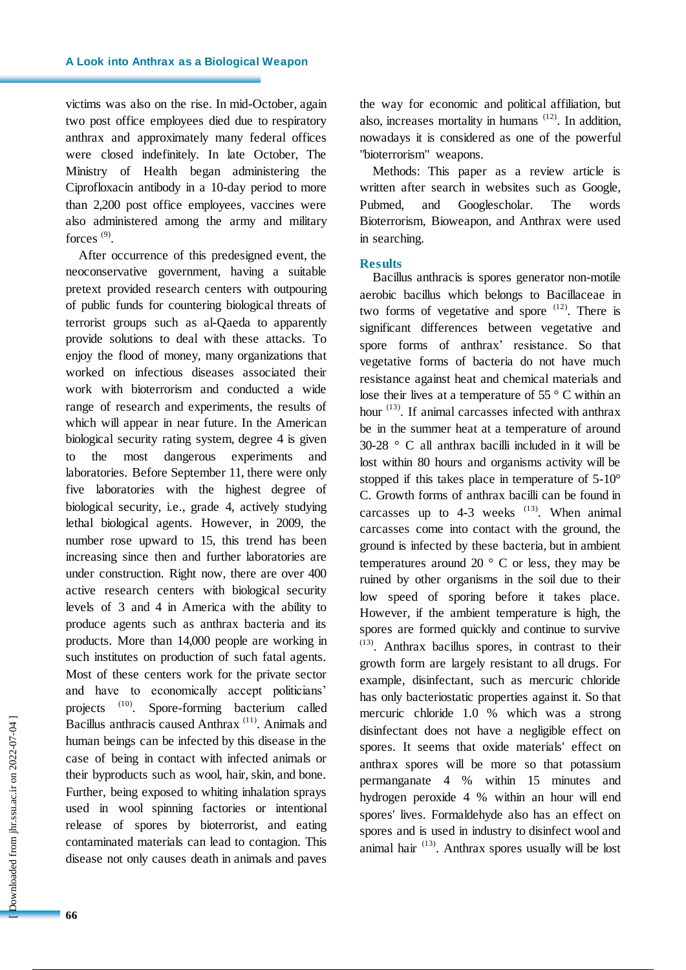victims was also on the rise. In mid-October, again two post office employees died due to respiratory anthrax and approximately many federal offices were closed indefinitely. In late October, The Ministry of Health began administering the Ciprofloxacin antibody in a 10-day period to more than 2,200 post office employees, vaccines were also administered among the army and military forces  $^{(9)}$  $^{(9)}$  $^{(9)}$ .

After occurrence of this predesigned event, the neoconservative government, having a suitable pretext provided research centers with outpouring of public funds for countering biological threats of terrorist groups such as al-Qaeda to apparently provide solutions to deal with these attacks. To enjoy the flood of money, many organizations that worked on infectious diseases associated their work with bioterrorism and conducted a wide range of research and experiments, the results of which will appear in near future. In the American biological security rating system, degree 4 is given to the most dangerous experiments and laboratories. Before September 11, there were only five laboratories with the highest degree of biological security, i.e., grade 4, actively studying lethal biological agents. However, in 2009, the number rose upward to 15, this trend has been increasing since then and further laboratories are under construction. Right now, there are over 400 active research centers with biological security levels of 3 and 4 in America with the ability to produce agents such as anthrax bacteria and its products. More than 14,000 people are working in such institutes on production of such fatal agents. Most of these centers work for the private sector and have to economically accept politicians' projects <sup>[\(10\)](https://translate.googleusercontent.com/translate_f#_ENREF_10)</sup>. Spore-forming bacterium called Bacillus anthracis caused Anthrax<sup>(11)</sup>. Animals and human beings can be infected by this disease in the case of being in contact with infected animals or their byproducts such as wool, hair, skin, and bone. Further, being exposed to whiting inhalation sprays used in wool spinning factories or intentional release of spores by bioterrorist, and eating contaminated materials can lead to contagion. This disease not only causes death in animals and paves

**66**

 [\[ Downloaded from jhr.ssu.ac.ir on 2022-0](https://jhr.ssu.ac.ir/article-1-356-en.html)7-04 ] Downloaded from jhr.ssu.ac.ir on 2022-07-04 ] the way for economic and political affiliation, but also, increases mortality in humans  $(12)$ . In addition, nowadays it is considered as one of the powerful "bioterrorism" weapons.

Methods: This paper as a review article is written after search in websites such as Google, Pubmed, and Googlescholar. The words Bioterrorism, Bioweapon, and Anthrax were used in searching.

## **Results**

Bacillus anthracis is spores generator non-motile aerobic bacillus which belongs to Bacillaceae in two forms of vegetative and spore  $(12)$ . There is significant differences between vegetative and spore forms of anthrax' resistance. So that vegetative forms of bacteria do not have much resistance against heat and chemical materials and lose their lives at a temperature of 55 ° C within an hour  $(13)$ . If animal carcasses infected with anthrax be in the summer heat at a temperature of around 30-28 ° C all anthrax bacilli included in it will be lost within 80 hours and organisms activity will be stopped if this takes place in temperature of 5-10° C. Growth forms of anthrax bacilli can be found in carcasses up to 4-3 weeks  $(13)$ . When animal carcasses come into contact with the ground, the ground is infected by these bacteria, but in ambient temperatures around 20 $\degree$  C or less, they may be ruined by other organisms in the soil due to their low speed of sporing before it takes place. However, if the ambient temperature is high, the spores are formed quickly and continue to survive (13) . Anthrax bacillus spores, in contrast to their growth form are largely resistant to all drugs. For example, disinfectant, such as mercuric chloride has only bacteriostatic properties against it. So that mercuric chloride 1.0 % which was a strong disinfectant does not have a negligible effect on spores. It seems that oxide materials' effect on anthrax spores will be more so that potassium permanganate 4 % within 15 minutes and hydrogen peroxide 4 % within an hour will end spores' lives. Formaldehyde also has an effect on spores and is used in industry to disinfect wool and animal hair  $(13)$ . Anthrax spores usually will be lost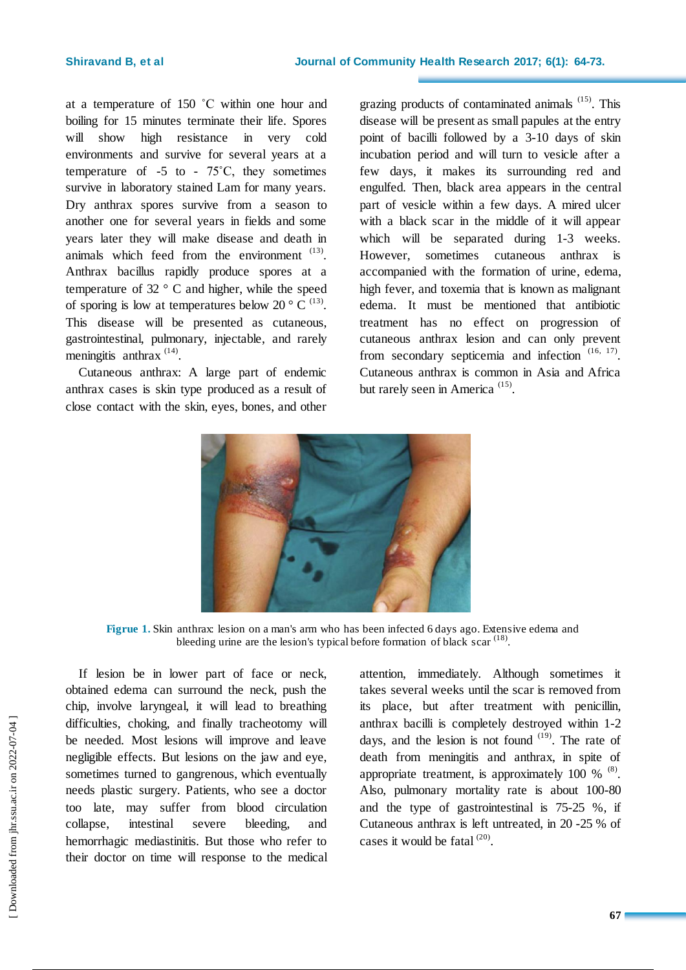at a temperature of 150 ˚C within one hour and boiling for 15 minutes terminate their life. Spores will show high resistance in very cold environments and survive for several years at a temperature of  $-5$  to  $-75^{\circ}$ C, they sometimes survive in laboratory stained Lam for many years. Dry anthrax spores survive from a season to another one for several years in fields and some years later they will make disease and death in animals which feed from the environment  $(13)$ . Anthrax bacillus rapidly produce spores at a temperature of 32 ° C and higher, while the speed of sporing is low at temperatures below 20  $\degree$  C <sup>(13)</sup>. This disease will be presented as cutaneous, gastrointestinal, pulmonary, injectable, and rarely meningitis anthrax<sup>(14)</sup>.

Cutaneous anthrax: A large part of endemic anthrax cases is skin type produced as a result of close contact with the skin, eyes, bones, and other

grazing products of contaminated animals  $(15)$ . This disease will be present as small papules at the entry point of bacilli followed by a 3-10 days of skin incubation period and will turn to vesicle after a few days, it makes its surrounding red and engulfed. Then, black area appears in the central part of vesicle within a few days. A mired ulcer with a black scar in the middle of it will appear which will be separated during 1-3 weeks. However, sometimes cutaneous anthrax is accompanied with the formation of urine, edema, high fever, and toxemia that is known as malignant edema. It must be mentioned that antibiotic treatment has no effect on progression of cutaneous anthrax lesion and can only prevent from secondary septicemia and infection  $(16, 17)$ . Cutaneous anthrax is common in Asia and Africa but rarely seen in America<sup>(15)</sup>.



**Figrue 1.** Skin anthrax: lesion on a man's arm who has been infected 6 days ago. Extensive edema and bleeding urine are the lesion's typical before formation of black scar<sup>(18)</sup>.

If lesion be in lower part of face or neck, obtained edema can surround the neck, push the chip, involve laryngeal, it will lead to breathing difficulties, choking, and finally tracheotomy will be needed. Most lesions will improve and leave negligible effects. But lesions on the jaw and eye, sometimes turned to gangrenous, which eventually needs plastic surgery. Patients, who see a doctor too late, may suffer from blood circulation collapse, intestinal severe bleeding, and hemorrhagic mediastinitis. But those who refer to their doctor on time will response to the medical attention, immediately. Although sometimes it takes several weeks until the scar is removed from its place, but after treatment with penicillin, anthrax bacilli is completely destroyed within 1-2 days, and the lesion is not found  $(19)$ . The rate of death from meningitis and anthrax, in spite of appropriate treatment, is approximately 100  $%$   $^{(8)}$ . Also, pulmonary mortality rate is about 100-80 and the type of gastrointestinal is 75-25 %, if Cutaneous anthrax is left untreated, in 20 -25 % of cases it would be fatal  $^{(20)}$ .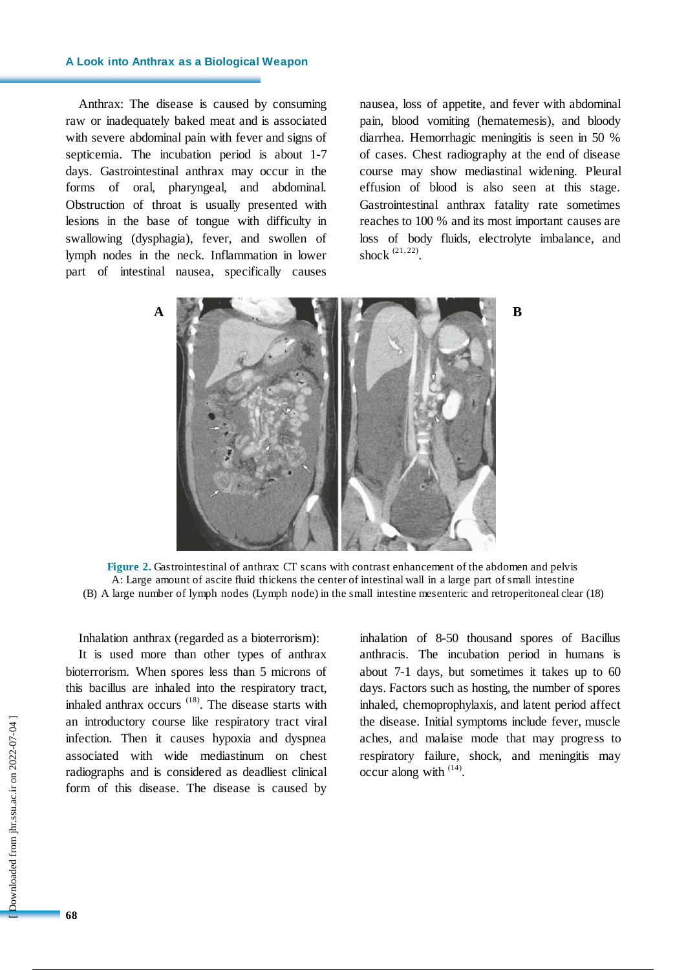## **A Look into Anthrax as a Biological Weapon**

Anthrax: The disease is caused by consuming raw or inadequately baked meat and is associated with severe abdominal pain with fever and signs of septicemia. The incubation period is about 1-7 days. Gastrointestinal anthrax may occur in the forms of oral, pharyngeal, and abdominal. Obstruction of throat is usually presented with lesions in the base of tongue with difficulty in swallowing (dysphagia), fever, and swollen of lymph nodes in the neck. Inflammation in lower part of intestinal nausea, specifically causes nausea, loss of appetite, and fever with abdominal pain, blood vomiting (hematemesis), and bloody diarrhea. Hemorrhagic meningitis is seen in 50 % of cases. Chest radiography at the end of disease course may show mediastinal widening. Pleural effusion of blood is also seen at this stage. Gastrointestinal anthrax fatality rate sometimes reaches to 100 % and its most important causes are loss of body fluids, electrolyte imbalance, and shock  $(21, 22)$ .





Inhalation anthrax (regarded as a bioterrorism):

It is used more than other types of anthrax bioterrorism. When spores less than 5 microns of this bacillus are inhaled into the respiratory tract, inhaled anthrax occurs (18). The disease starts with an introductory course like respiratory tract viral infection. Then it causes hypoxia and dyspnea associated with wide mediastinum on chest radiographs and is considered as deadliest clinical form of this disease. The disease is caused by

inhalation of 8-50 thousand spores of Bacillus anthracis. The incubation period in humans is about 7-1 days, but sometimes it takes up to 60 days. Factors such as hosting, the number of spores inhaled, chemoprophylaxis, and latent period affect the disease. Initial symptoms include fever, muscle aches, and malaise mode that may progress to respiratory failure, shock, and meningitis may occur along with  $(14)$ .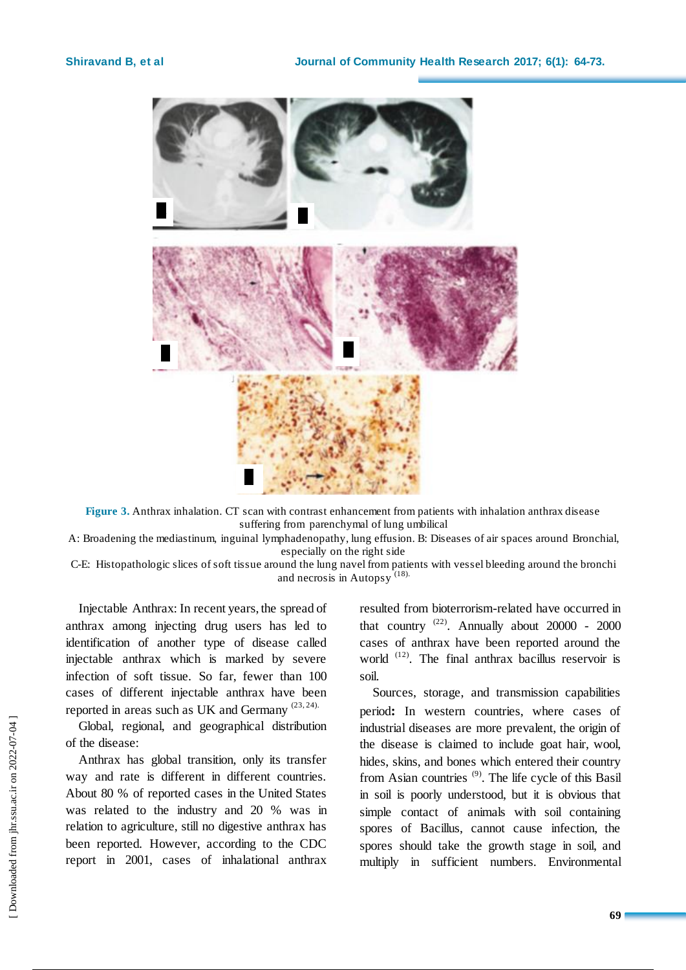

**Figure 3.** Anthrax inhalation. CT scan with contrast enhancement from patients with inhalation anthrax disease suffering from parenchymal of lung umbilical

A: Broadening the mediastinum, inguinal lymphadenopathy, lung effusion. B: Diseases of air spaces around Bronchial, especially on the right side

C-E: Histopathologic slices of soft tissue around the lung navel from patients with vessel bleeding around the bronchi and necrosis in Autopsy (18).

Injectable Anthrax: In recent years, the spread of anthrax among injecting drug users has led to identification of another type of disease called injectable anthrax which is marked by severe infection of soft tissue. So far, fewer than 100 cases of different injectable anthrax have been reported in areas such as UK and Germany (23, 24).

Global, regional, and geographical distribution of the disease:

Anthrax has global transition, only its transfer way and rate is different in different countries. About 80 % of reported cases in the United States was related to the industry and 20 % was in relation to agriculture, still no digestive anthrax has been reported. However, according to the CDC report in 2001, cases of inhalational anthrax resulted from bioterrorism-related have occurred in that country  $(22)$ . Annually about 20000 - 2000 cases of anthrax have been reported around the world <sup>(12)</sup>. The final anthrax bacillus reservoir is soil.

Sources, storage, and transmission capabilities period**:** In western countries, where cases of industrial diseases are more prevalent, the origin of the disease is claimed to include goat hair, wool, hides, skins, and bones which entered their country from Asian countries (9). The life cycle of this Basil in soil is poorly understood, but it is obvious that simple contact of animals with soil containing spores of Bacillus, cannot cause infection, the spores should take the growth stage in soil, and multiply in sufficient numbers. Environmental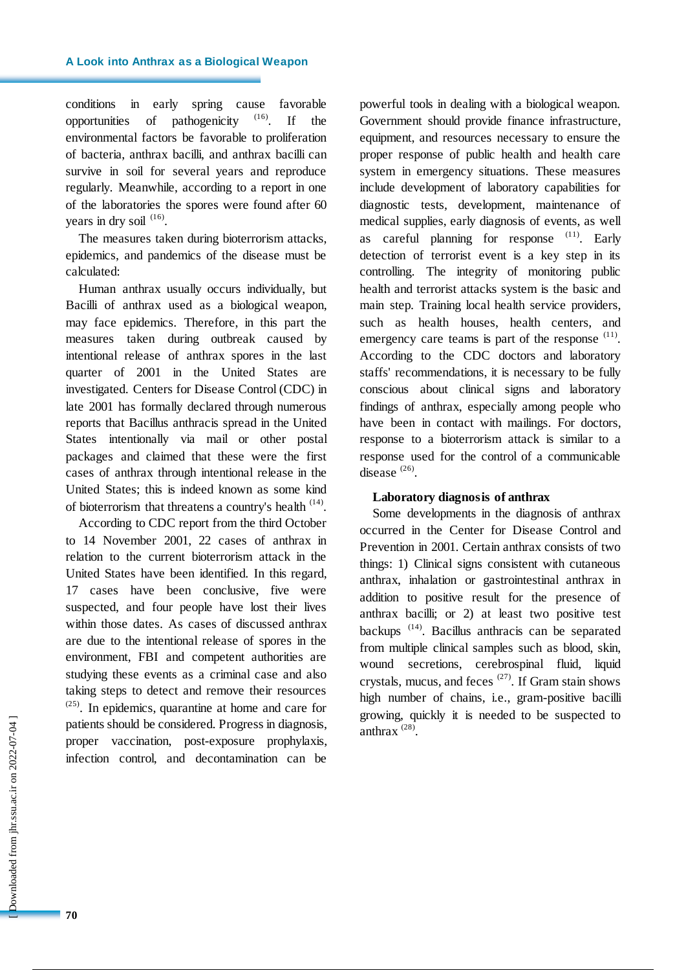conditions in early spring cause favorable opportunities of pathogenicity  $(16)$ . If the environmental factors be favorable to proliferation of bacteria, anthrax bacilli, and anthrax bacilli can survive in soil for several years and reproduce regularly. Meanwhile, according to a report in one of the laboratories the spores were found after 60 years in dry soil  $(16)$ .

The measures taken during bioterrorism attacks, epidemics, and pandemics of the disease must be calculated:

Human anthrax usually occurs individually, but Bacilli of anthrax used as a biological weapon, may face epidemics. Therefore, in this part the measures taken during outbreak caused by intentional release of anthrax spores in the last quarter of 2001 in the United States are investigated. Centers for Disease Control (CDC) in late 2001 has formally declared through numerous reports that Bacillus anthracis spread in the United States intentionally via mail or other postal packages and claimed that these were the first cases of anthrax through intentional release in the United States; this is indeed known as some kind of bioterrorism that threatens a country's health  $(14)$ .

According to CDC report from the third October to 14 November 2001, 22 cases of anthrax in relation to the current bioterrorism attack in the United States have been identified. In this regard, 17 cases have been conclusive, five were suspected, and four people have lost their lives within those dates. As cases of discussed anthrax are due to the intentional release of spores in the environment, FBI and competent authorities are studying these events as a criminal case and also taking steps to detect and remove their resources  $(25)$ . In epidemics, quarantine at home and care for patients should be considered. Progress in diagnosis, proper vaccination, post-exposure prophylaxis, infection control, and decontamination can be

powerful tools in dealing with a biological weapon. Government should provide finance infrastructure, equipment, and resources necessary to ensure the proper response of public health and health care system in emergency situations. These measures include development of laboratory capabilities for diagnostic tests, development, maintenance of medical supplies, early diagnosis of events, as well as careful planning for response  $(11)$ . Early detection of terrorist event is a key step in its controlling. The integrity of monitoring public health and terrorist attacks system is the basic and main step. Training local health service providers, such as health houses, health centers, and emergency care teams is part of the response  $(11)$ . According to the CDC doctors and laboratory staffs' recommendations, it is necessary to be fully conscious about clinical signs and laboratory findings of anthrax, especially among people who have been in contact with mailings. For doctors, response to a bioterrorism attack is similar to a response used for the control of a communicable disease <sup>(26)</sup>.

## **Laboratory diagnosis of anthrax**

Some developments in the diagnosis of anthrax occurred in the Center for Disease Control and Prevention in 2001. Certain anthrax consists of two things: 1) Clinical signs consistent with cutaneous anthrax, inhalation or gastrointestinal anthrax in addition to positive result for the presence of anthrax bacilli; or 2) at least two positive test backups<sup>(14)</sup>. Bacillus anthracis can be separated from multiple clinical samples such as blood, skin, wound secretions, cerebrospinal fluid, liquid crystals, mucus, and feces  $(27)$ . If Gram stain shows high number of chains, i.e., gram-positive bacilli growing, quickly it is needed to be suspected to anthrax (28) .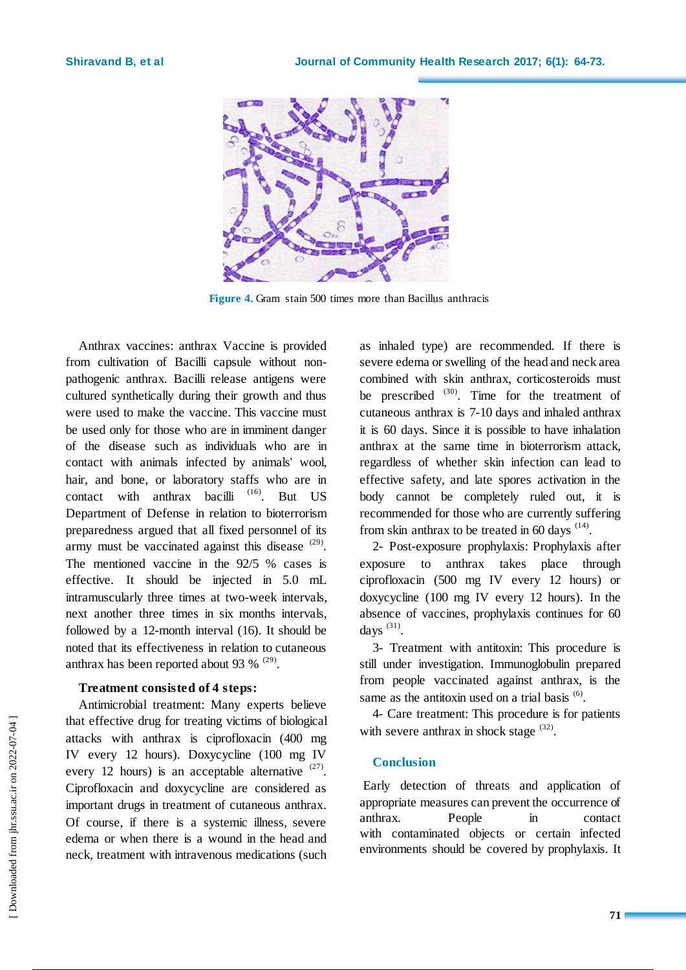

**Figure 4.** Gram stain 500 times more than Bacillus anthracis

Anthrax vaccines: anthrax Vaccine is provided from cultivation of Bacilli capsule without nonpathogenic anthrax. Bacilli release antigens were cultured synthetically during their growth and thus were used to make the vaccine. This vaccine must be used only for those who are in imminent danger of the disease such as individuals who are in contact with animals infected by animals' wool, hair, and bone, or laboratory staffs who are in contact with anthrax bacilli  $(16)$ . But US Department of Defense in relation to bioterrorism preparedness argued that all fixed personnel of its army must be vaccinated against this disease  $(29)$ . The mentioned vaccine in the 92/5 % cases is effective. It should be injected in 5.0 mL intramuscularly three times at two-week intervals, next another three times in six months intervals, followed by a 12-month interval (16). It should be noted that its effectiveness in relation to cutaneous anthrax has been reported about 93  $% ^{(29)}$ .

## **Treatment consisted of 4 steps:**

Antimicrobial treatment: Many experts believe that effective drug for treating victims of biological attacks with anthrax is ciprofloxacin (400 mg IV every 12 hours). Doxycycline (100 mg IV every 12 hours) is an acceptable alternative  $(27)$ . Ciprofloxacin and doxycycline are considered as important drugs in treatment of cutaneous anthrax. Of course, if there is a systemic illness, severe edema or when there is a wound in the head and neck, treatment with intravenous medications (such

as inhaled type) are recommended. If there is severe edema or swelling of the head and neck area combined with skin anthrax, corticosteroids must be prescribed  $(30)$ . Time for the treatment of cutaneous anthrax is 7-10 days and inhaled anthrax it is 60 days. Since it is possible to have inhalation anthrax at the same time in bioterrorism attack, regardless of whether skin infection can lead to effective safety, and late spores activation in the body cannot be completely ruled out, it is recommended for those who are currently suffering from skin anthrax to be treated in 60 days  $(14)$ .

2- Post-exposure prophylaxis: Prophylaxis after exposure to anthrax takes place through ciprofloxacin (500 mg IV every 12 hours) or doxycycline (100 mg IV every 12 hours). In the absence of vaccines, prophylaxis continues for 60 days  $(31)$ .

3- Treatment with antitoxin: This procedure is still under investigation. Immunoglobulin prepared from people vaccinated against anthrax, is the same as the antitoxin used on a trial basis <sup>(6)</sup>.

4- Care treatment: This procedure is for patients with severe anthrax in shock stage  $(32)$ .

## **Conclusion**

Early detection of threats and application of appropriate measures can prevent the occurrence of anthrax. People in contact with contaminated objects or certain infected environments should be covered by prophylaxis. It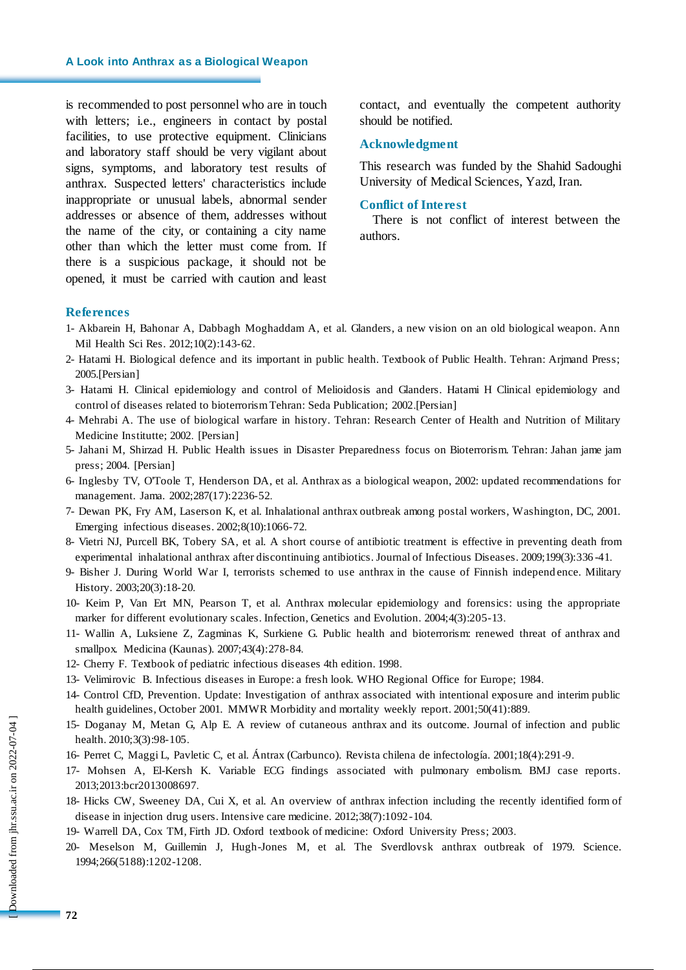## **A Look into Anthrax as a Biological Weapon**

is recommended to post personnel who are in touch with letters; i.e., engineers in contact by postal facilities, to use protective equipment. Clinicians and laboratory staff should be very vigilant about signs, symptoms, and laboratory test results of anthrax. Suspected letters' characteristics include inappropriate or unusual labels, abnormal sender addresses or absence of them, addresses without the name of the city, or containing a city name other than which the letter must come from. If there is a suspicious package, it should not be opened, it must be carried with caution and least

contact, and eventually the competent authority should be notified.

### **Acknowledgment**

This research was funded by the Shahid Sadoughi University of Medical Sciences, Yazd, Iran.

#### **Conflict of Interest**

There is not conflict of interest between the authors.

## **References**

- 1- Akbarein H, Bahonar A, Dabbagh Moghaddam A, et al. Glanders, a new vision on an old biological weapon. Ann Mil Health Sci Res. 2012;10(2):143-62.
- 2- Hatami H. Biological defence and its important in public health. Textbook of Public Health. Tehran: Arjmand Press; 2005.[Persian]
- 3- Hatami H. Clinical epidemiology and control of Melioidosis and Glanders. Hatami H Clinical epidemiology and control of diseases related to bioterrorism Tehran: Seda Publication; 2002.[Persian]
- 4- Mehrabi A. The use of biological warfare in history. Tehran: Research Center of Health and Nutrition of Military Medicine Institutte; 2002. [Persian]
- 5- Jahani M, Shirzad H. Public Health issues in Disaster Preparedness focus on Bioterrorism. Tehran: Jahan jame jam press; 2004. [Persian]
- 6- Inglesby TV, O'Toole T, Henderson DA, et al. Anthrax as a biological weapon, 2002: updated recommendations for management. Jama. 2002;287(17):2236-52.
- 7- Dewan PK, Fry AM, Laserson K, et al. Inhalational anthrax outbreak among postal workers, Washington, DC, 2001. Emerging infectious diseases. 2002;8(10):1066-72.
- 8- Vietri NJ, Purcell BK, Tobery SA, et al. A short course of antibiotic treatment is effective in preventing death from experimental inhalational anthrax after discontinuing antibiotics. Journal of Infectious Diseases. 2009;199(3):336 -41.
- 9- Bisher J. During World War I, terrorists schemed to use anthrax in the cause of Finnish independ ence. Military History. 2003;20(3):18-20.
- 10- Keim P, Van Ert MN, Pearson T, et al. Anthrax molecular epidemiology and forensics: using the appropriate marker for different evolutionary scales. Infection, Genetics and Evolution. 2004;4(3):205-13.
- 11- Wallin A, Luksiene Z, Zagminas K, Surkiene G. Public health and bioterrorism: renewed threat of anthrax and smallpox. Medicina (Kaunas). 2007;43(4):278-84.
- 12- Cherry F. Textbook of pediatric infectious diseases 4th edition. 1998.
- 13- Velimirovic B. Infectious diseases in Europe: a fresh look. WHO Regional Office for Europe; 1984.
- 14- Control CfD, Prevention. Update: Investigation of anthrax associated with intentional exposure and interim public health guidelines, October 2001. MMWR Morbidity and mortality weekly report. 2001;50(41):889.
- 15- Doganay M, Metan G, Alp E. A review of cutaneous anthrax and its outcome. Journal of infection and public health. 2010;3(3):98-105.
- 16- Perret C, Maggi L, Pavletic C, et al. Ántrax (Carbunco). Revista chilena de infectología. 2001;18(4):291-9.
- 17- Mohsen A, El-Kersh K. Variable ECG findings associated with pulmonary embolism. BMJ case reports. 2013;2013:bcr2013008697.
- 18- Hicks CW, Sweeney DA, Cui X, et al. An overview of anthrax infection including the recently identified form of disease in injection drug users. Intensive care medicine. 2012;38(7):1092-104.
- 19- Warrell DA, Cox TM, Firth JD. Oxford textbook of medicine: Oxford University Press; 2003.
- 20- Meselson M, Guillemin J, Hugh-Jones M, et al. The Sverdlovsk anthrax outbreak of 1979. Science. 1994;266(5188):1202-1208.